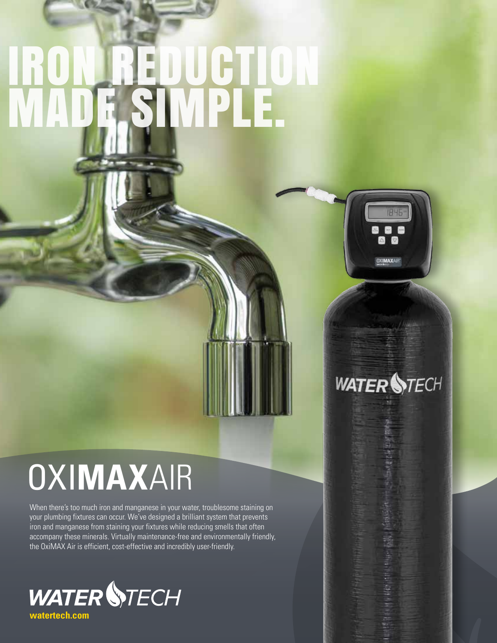# IRON REDUCTION MADE SIMPLE.



### **WATER STECH**

## OXI**MAX**AIR

When there's too much iron and manganese in your water, troublesome staining on your plumbing fixtures can occur. We've designed a brilliant system that prevents iron and manganese from staining your fixtures while reducing smells that often accompany these minerals. Virtually maintenance-free and environmentally friendly, the OxiMAX Air is efficient, cost-effective and incredibly user-friendly.